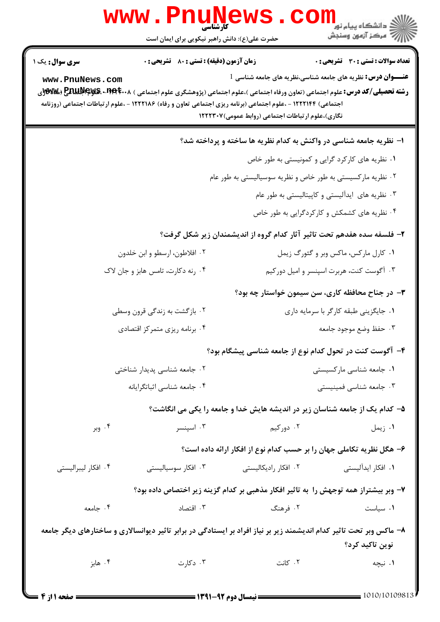|                                           | www.PnuNews<br>حضرت علی(ع): دانش راهبر نیکویی برای ایمان است                                                                                                                                                                                                                                            |                                                                             | دانشگاه پيام نور ¶<br>ا∛ مرکز آزمهن وسنجش                                                                              |
|-------------------------------------------|---------------------------------------------------------------------------------------------------------------------------------------------------------------------------------------------------------------------------------------------------------------------------------------------------------|-----------------------------------------------------------------------------|------------------------------------------------------------------------------------------------------------------------|
| <b>سری سوال :</b> یک ۱<br>www.PnuNews.com | <b>زمان آزمون (دقیقه) : تستی : 80 ٪ تشریحی : 0</b><br><b>رشته تحصیلی/کد درس:</b> علوم اجتماعی (تعاون ورفاه اجتماعی )،علوم اجتماعی (پژوهشگری علوم اجتماعی ) <b>۲۹۴۰۰۸- ENUP (WE</b> (WW<br>اجتماعی) ۱۲۲۲۱۴۴ - ،علوم اجتماعی (برنامه ریزی اجتماعی تعاون و رفاه) ۱۲۲۲۱۸۶ - ،علوم ارتباطات اجتماعی (روزنامه | نگاری)،علوم ارتباطات اجتماعی (روابط عمومی)۱۲۲۲۳۰۷                           | تعداد سوالات : تستي : 30 ٪ تشريحي : 0<br><b>عنـــوان درس:</b> نظریه های جامعه شناسی،نظریه های جامعه شناسی <sup>1</sup> |
|                                           |                                                                                                                                                                                                                                                                                                         | ۱– نظریه جامعه شناسی در واکنش به کدام نظریه ها ساخته و پرداخته شد؟          | ۰۱ نظریه های کارکرد گرایی و کمونیستی به طور خاص                                                                        |
|                                           |                                                                                                                                                                                                                                                                                                         | ۰۲ نظریه مارکسیستی به طور خاص و نظریه سوسیالیستی به طور عام                 | ۰۳ نظریه های ایدآلیستی و کاپیتالیستی به طور عام<br>۰۴ نظریه های کشمکش و کارکردگرایی به طور خاص                         |
|                                           |                                                                                                                                                                                                                                                                                                         | ۲– فلسفه سده هفدهم تحت تاثیر آثار کدام گروه از اندیشمندان زیر شکل گرفت؟     |                                                                                                                        |
|                                           | ۰۲ افلاطون، ارسطو و ابن خلدون<br>۰۴ رنه دکارت، تامس هابز و جان لاک                                                                                                                                                                                                                                      |                                                                             | ۰۱ کارل مارکس، ماکس وبر و گئورگ زیمل<br>۰۳ آگوست کنت، هربرت اسپنسر و امیل دورکیم                                       |
|                                           |                                                                                                                                                                                                                                                                                                         |                                                                             | ۳- در جناح محافظه کاری، سن سیمون خواستار چه بود؟                                                                       |
|                                           | ۰۲ بازگشت به زندگی قرون وسطی                                                                                                                                                                                                                                                                            |                                                                             | ۰۱ جایگزینی طبقه کارگر با سرمایه داری                                                                                  |
|                                           | ۰۴ برنامه ریزی متمرکز اقتصادی                                                                                                                                                                                                                                                                           | ۴- آگوست کنت در تحول کدام نوع از جامعه شناسی پیشگام بود؟                    | ۰۳ حفظ وضع موجود جامعه                                                                                                 |
|                                           | ۰۲ جامعه شناسی پدیدار شناختی                                                                                                                                                                                                                                                                            |                                                                             | ۰۱ جامعه شناسی مارکسیستی                                                                                               |
|                                           | ۰۴ جامعه شناسي اثباتگرايانه                                                                                                                                                                                                                                                                             |                                                                             | ۰۳ جامعه شناسی فمینیستی                                                                                                |
|                                           |                                                                                                                                                                                                                                                                                                         | ۵– کدام یک از جامعه شناسان زیر در اندیشه هایش خدا و جامعه را یکی می انگاشت؟ |                                                                                                                        |
| ۰۴ وبر                                    | ۰۳ اسپنسر                                                                                                                                                                                                                                                                                               | ۰۲ دورکیم                                                                   | ۰۱ زیمل                                                                                                                |
|                                           |                                                                                                                                                                                                                                                                                                         | ۶– هگل نظریه تکاملی جهان را بر حسب کدام نوع از افکار ارائه داده است؟        |                                                                                                                        |
| ۰۴ افکار لیبرالیستی                       | ۰۳ افکار سوسیالیستی                                                                                                                                                                                                                                                                                     | ۰۲ افکار رادیکالیستی                                                        | ۰۱ افکار ایدآلیستی                                                                                                     |
|                                           | ۷– وبر بیشتراز همه توجهش را به تاثیر افکار مذهبی بر کدام گزینه زیر اختصاص داده بود؟                                                                                                                                                                                                                     |                                                                             |                                                                                                                        |
| ۰۴ جامعه                                  | ۰۳ اقتصاد                                                                                                                                                                                                                                                                                               | ۰۲ فرهنگ                                                                    | ٠١ سياست                                                                                                               |
|                                           | ۸– ماکس وبر تحت تاثیر کدام اندیشمند زیر بر نیاز افراد بر ایستادگی در برابر تاثیر دیوانسالاری و ساختارهای دیگر جامعه                                                                                                                                                                                     |                                                                             | نوین تاکید کرد؟                                                                                                        |
| ۰۴ هابز                                   | ۰۳ دکارت                                                                                                                                                                                                                                                                                                | ۰۲ کانت                                                                     | ۰۱ نیچه                                                                                                                |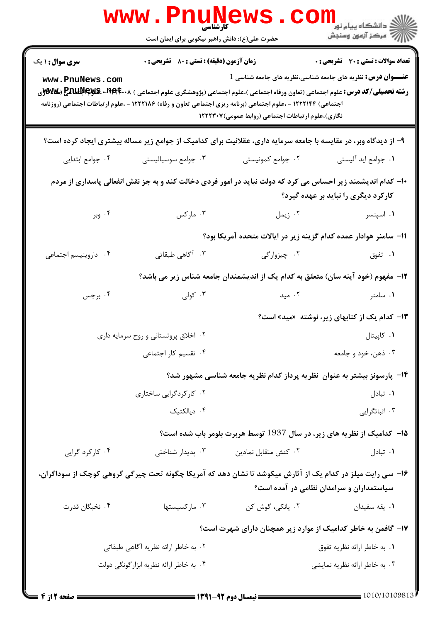|                                           | کارشناسی<br>حضرت علی(ع): دانش راهبر نیکویی برای ایمان است |                                                                                                                                                                                                                                                                                                              | ڪ دانشڪاه پيام نور<br>ا∛ مرڪز آزمون وسنڊش                                                                            |
|-------------------------------------------|-----------------------------------------------------------|--------------------------------------------------------------------------------------------------------------------------------------------------------------------------------------------------------------------------------------------------------------------------------------------------------------|----------------------------------------------------------------------------------------------------------------------|
| <b>سری سوال : ۱ یک</b><br>www.PnuNews.com | <b>زمان آزمون (دقیقه) : تستی : 80 ٪ تشریحی : 0</b>        | <b>رشته تحصیلی/کد درس:</b> علوم اجتماعی (تعاون ورفاه اجتماعی )،علوم اجتماعی (پژوهشگری علوم اجتماعی ) <b>۱۹۹۴۰۰۸ FullNeygs (%%</b> y)ری<br>اجتماعی) ۱۲۲۲۱۴۴ - ،علوم اجتماعی (برنامه ریزی اجتماعی تعاون و رفاه) ۱۲۲۲۱۸۶ - ،علوم ارتباطات اجتماعی (روزنامه<br>نگاری)،علوم ارتباطات اجتماعی (روابط عمومی)۱۲۲۲۳۰۷ | تعداد سوالات : تستى : 30 قشريحى : 0<br><b>عنـــوان درس:</b> نظریه های جامعه شناسی،نظریه های جامعه شناسی <sup>1</sup> |
|                                           |                                                           | ۹- از دیدگاه وبر، در مقایسه با جامعه سرمایه داری، عقلانیت برای کدامیک از جوامع زیر مساله بیشتری ایجاد کرده است؟                                                                                                                                                                                              |                                                                                                                      |
| ۰۴ جوامع ابتدایی                          | ۰۳ جوامع سوسیالیستی                                       | ۰۲ جوامع کمونیستی                                                                                                                                                                                                                                                                                            | ٠١. جوامع ايد آليستي                                                                                                 |
|                                           |                                                           | ۱۰– کدام اندیشمند زیر احساس می کرد که دولت نباید در امور فردی دخالت کند و به جز نقش انفعالی پاسداری از مردم                                                                                                                                                                                                  | کارکرد دیگری را نباید بر عهده گیرد؟                                                                                  |
| ۰۴ وبر                                    | ۰۳ مارکس                                                  | ۰۲ زیمل                                                                                                                                                                                                                                                                                                      | ۰۱ اسپنسر                                                                                                            |
|                                           |                                                           | 11– سامنر هوادار عمده کدام گزینه زیر در ایالات متحده آمریکا بود؟                                                                                                                                                                                                                                             |                                                                                                                      |
| ۰۴ داروینیسم اجتماعی                      | ۰۳ آگاهی طبقاتی                                           | ۰۲ چیزوارگی                                                                                                                                                                                                                                                                                                  | ۰۱ تفوق                                                                                                              |
|                                           |                                                           | ۱۲– مفهوم (خود آینه سان) متعلق به کدام یک از اندیشمندان جامعه شناس زیر می باشد؟                                                                                                                                                                                                                              |                                                                                                                      |
| ۰۴ برجس                                   | ۰۳ کولی                                                   | ۰۲ مید                                                                                                                                                                                                                                                                                                       | ۰۱ سامنر                                                                                                             |
|                                           |                                                           |                                                                                                                                                                                                                                                                                                              | ۱۳- کدام یک از کتابهای زیر، نوشته «مید» است؟                                                                         |
|                                           | ۰۲ اخلاق پروتستانی و روح سرمایه داری                      |                                                                                                                                                                                                                                                                                                              | ۰۱ کاپیتال                                                                                                           |
|                                           | ۰۴ تقسیم کار اجتماعی                                      |                                                                                                                                                                                                                                                                                                              | ۰۳ ذهن، خود و جامعه                                                                                                  |
|                                           |                                                           | ۱۴– پارسونز بیشتر به عنوان ًنظریه پرداز کدام نظریه جامعه شناسی مشهور شد؟                                                                                                                                                                                                                                     |                                                                                                                      |
|                                           | ۰۲ کارکردگرایی ساختاری                                    |                                                                                                                                                                                                                                                                                                              | ۰۱ تبادل                                                                                                             |
|                                           | ۰۴ دیالکتیک                                               |                                                                                                                                                                                                                                                                                                              | ۰۳ اثباتگرایی                                                                                                        |
|                                           |                                                           | ۱۵- کدامیک از نظریه های زیر، در سال 1937 توسط هربرت بلومر باب شده است؟                                                                                                                                                                                                                                       |                                                                                                                      |
| ۰۴ کارکرد گرایی                           | ۰۳ پدیدار شناختی                                          | ۰۲ کنش متقابل نمادین                                                                                                                                                                                                                                                                                         | ۰۱ تبادل                                                                                                             |
|                                           |                                                           | ۱۶– سی رایت میلز در کدام یک از آثارش میکوشد تا نشان دهد که آمریکا چگونه تحت چیرگی گروهی کوچک از سوداگران،                                                                                                                                                                                                    | سیاستمداران و سرامدان نظامی در آمده است؟                                                                             |
| ۰۴ نخبگان قدرت                            | ۰۳ مارکسیستها                                             | ۰۲ يانکي، گوش کن                                                                                                                                                                                                                                                                                             | ۰۱ يقه سفيدان                                                                                                        |
|                                           |                                                           | ۱۷– گافمن به خاطر کدامیک از موارد زیر همچنان دارای شهرت است؟                                                                                                                                                                                                                                                 |                                                                                                                      |
| ۰۲ به خاطر ارائه نظریه آگاهی طبقاتی       |                                                           |                                                                                                                                                                                                                                                                                                              | ۰۱ به خاطر ارائه نظریه تفوق                                                                                          |
|                                           | ۰۴ به خاطر ارائه نظریه ابزار گونگی دولت                   |                                                                                                                                                                                                                                                                                                              | ۰۳ به خاطر ارائه نظريه نمايشي                                                                                        |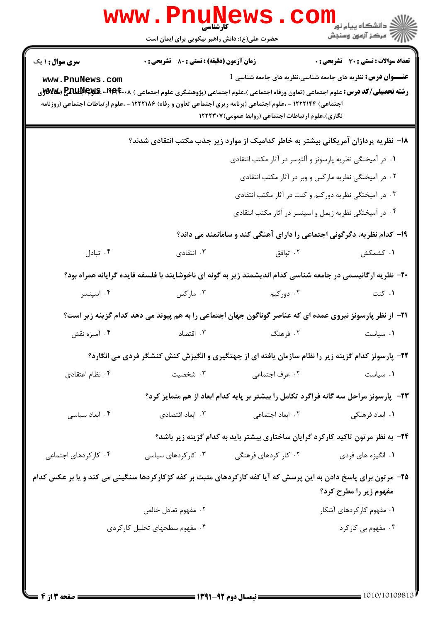|                                                                                                                 | WWW.Pnung<br>حضرت علی(ع): دانش راهبر نیکویی برای ایمان است                                                                                                                                                                                                                                                  |                                                                                                                                  | ڪ دانشڪاه پيام نور ■<br> 7- مرکز آزمون وسنجش                                                                           |
|-----------------------------------------------------------------------------------------------------------------|-------------------------------------------------------------------------------------------------------------------------------------------------------------------------------------------------------------------------------------------------------------------------------------------------------------|----------------------------------------------------------------------------------------------------------------------------------|------------------------------------------------------------------------------------------------------------------------|
| <b>سری سوال : ۱ یک</b><br>www.PnuNews.com                                                                       | <b>زمان آزمون (دقیقه) : تستی : 80 ٪ تشریحی : 0</b><br><b>رشته تحصیلی/کد درس:</b> علوم اجتماعی (تعاون ورفاه اجتماعی )،علوم اجتماعی (پژوهشگری علوم اجتماعی ) <b>۱۹۹۴۰۰۸- EAUIP (WS</b> (WW)ر<br>اجتماعی) ۱۲۲۲۱۴۴ - ،علوم اجتماعی (برنامه ریزی اجتماعی تعاون و رفاه) ۱۲۲۲۱۸۶ - ،علوم ارتباطات اجتماعی (روزنامه | نگاری)،علوم ارتباطات اجتماعی (روابط عمومی)۱۲۲۲۳۰۷                                                                                | تعداد سوالات : تستى : 30 - تشريحي : 0<br><b>عنـــوان درس:</b> نظریه های جامعه شناسی،نظریه های جامعه شناسی <sup>1</sup> |
|                                                                                                                 | ۱۸– نظریه پردازان آمریکائی بیشتر به خاطر کدامیک از موارد زیر جذب مکتب انتقادی شدند؟                                                                                                                                                                                                                         | ۰۱ در آمیختگی نظریه پارسونز و آلتوسر در آثار مکتب انتقادی<br>۰۳ در آمیختگی نظریه دورکیم و کنت در آثار مکتب انتقادی               | ۰۲ در آمیختگی نظریه مارکس و وبر در آثار مکتب انتقادی                                                                   |
|                                                                                                                 |                                                                                                                                                                                                                                                                                                             | ۰۴ در آمیختگی نظریه زیمل و اسپنسر در آثار مکتب انتقادی<br>۱۹- کدام نظریه، دگرگونی اجتماعی را دارای آهنگی کند و سامانمند می داند؟ |                                                                                                                        |
| ۰۴ تبادل                                                                                                        | ۰۳ انتقادی                                                                                                                                                                                                                                                                                                  | ۰۲ توافق                                                                                                                         | ۰۱ کشمکش                                                                                                               |
|                                                                                                                 | +۲- نظریه ارگانیسمی در جامعه شناسی کدام اندیشمند زیر به گونه ای ناخوشایند با فلسفه فایده گرایانه همراه بود؟                                                                                                                                                                                                 |                                                                                                                                  |                                                                                                                        |
| ۰۴ اسپنسر                                                                                                       | ۰۳ مارکس                                                                                                                                                                                                                                                                                                    | ۰۲ دورکیم                                                                                                                        | ۰۱ کنت                                                                                                                 |
|                                                                                                                 | <b>۲۱</b> - از نظر پارسونز نیروی عمده ای که عناصر گوناگون جهان اجتماعی را به هم پیوند می دهد کدام گزینه زیر است؟                                                                                                                                                                                            |                                                                                                                                  |                                                                                                                        |
| ۰۴ آمیزه نقش                                                                                                    | ۰۳ اقتصاد                                                                                                                                                                                                                                                                                                   | ۰۲ فرهنگ                                                                                                                         | ٠١ سياست                                                                                                               |
|                                                                                                                 | ۲۲- پارسونز کدام گزینه زیر را نظام سازمان یافته ای از جهتگیری و انگیزش کنش کنشگر فردی می انگارد؟                                                                                                                                                                                                            |                                                                                                                                  |                                                                                                                        |
| ۰۴ نظام اعتقادی                                                                                                 | ۰۳ شخصیت                                                                                                                                                                                                                                                                                                    | ۰۲ عرف اجتما <i>ع</i> ی                                                                                                          | ۰۱ سیاست                                                                                                               |
|                                                                                                                 |                                                                                                                                                                                                                                                                                                             | ۲۳- پارسونز مراحل سه گانه فراگرد تکامل را بیشتر بر پایه کدام ابعاد از هم متمایز کرد؟                                             |                                                                                                                        |
| ۰۴ ابعاد سياسي                                                                                                  | ۰۳ ابعاد اقتصادی                                                                                                                                                                                                                                                                                            | ۰۲ ابعاد اجتماع <sub>ی</sub>                                                                                                     | ۰۱ ابعاد فرهنگی                                                                                                        |
|                                                                                                                 |                                                                                                                                                                                                                                                                                                             | ۲۴- به نظر مرتون تاکید کارکرد گرایان ساختاری بیشتر باید به کدام گزینه زیر باشد؟                                                  |                                                                                                                        |
| ۰۴ کار کردهای اجتماعی                                                                                           | ۰۳ کارکردهای سیاسی                                                                                                                                                                                                                                                                                          | ۰۲ کار کردهای فرهنگی                                                                                                             | ۰۱ انگیزه های فردی                                                                                                     |
| ۲۵- مرتون برای پاسخ دادن به این پرسش که آیا کفه کارکردهای مثبت بر کفه کژکارکردها سنگینی می کند و یا بر عکس کدام |                                                                                                                                                                                                                                                                                                             |                                                                                                                                  | مفهوم زير را مطرح كرد؟                                                                                                 |
|                                                                                                                 | ۰۲ مفهوم تعادل خالص                                                                                                                                                                                                                                                                                         |                                                                                                                                  | ۰۱ مفهوم کارکردهای آشکار                                                                                               |
|                                                                                                                 | ۰۴ مفهوم سطحهای تحلیل کارکردی                                                                                                                                                                                                                                                                               |                                                                                                                                  | ۰۳ مفهوم بی کارکرد                                                                                                     |